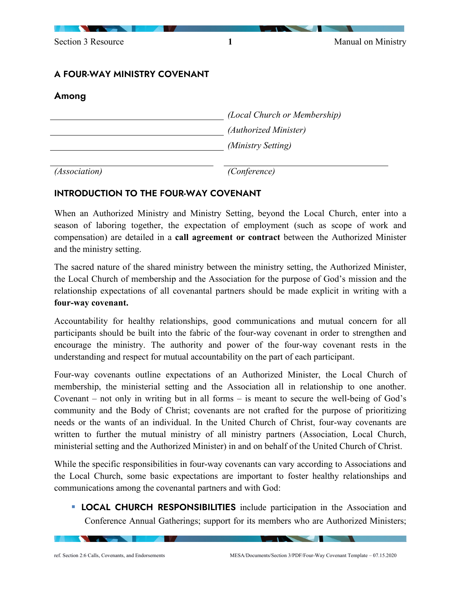Section 3 Resource 1 1 Manual on Ministry

## A FOUR-WAY MINISTRY COVENANT

## Among

| (Local Church or Membership) |
|------------------------------|
| (Authorized Minister)        |
| (Ministry Setting)           |
|                              |

*(Association) (Conference)*

## INTRODUCTION TO THE FOUR-WAY COVENANT

When an Authorized Ministry and Ministry Setting, beyond the Local Church, enter into a season of laboring together, the expectation of employment (such as scope of work and compensation) are detailed in a **call agreement or contract** between the Authorized Minister and the ministry setting.

The sacred nature of the shared ministry between the ministry setting, the Authorized Minister, the Local Church of membership and the Association for the purpose of God's mission and the relationship expectations of all covenantal partners should be made explicit in writing with a **four-way covenant.**

Accountability for healthy relationships, good communications and mutual concern for all participants should be built into the fabric of the four-way covenant in order to strengthen and encourage the ministry. The authority and power of the four-way covenant rests in the understanding and respect for mutual accountability on the part of each participant.

Four-way covenants outline expectations of an Authorized Minister, the Local Church of membership, the ministerial setting and the Association all in relationship to one another. Covenant – not only in writing but in all forms – is meant to secure the well-being of God's community and the Body of Christ; covenants are not crafted for the purpose of prioritizing needs or the wants of an individual. In the United Church of Christ, four-way covenants are written to further the mutual ministry of all ministry partners (Association, Local Church, ministerial setting and the Authorized Minister) in and on behalf of the United Church of Christ.

While the specific responsibilities in four-way covenants can vary according to Associations and the Local Church, some basic expectations are important to foster healthy relationships and communications among the covenantal partners and with God:

**LOCAL CHURCH RESPONSIBILITIES** include participation in the Association and Conference Annual Gatherings; support for its members who are Authorized Ministers;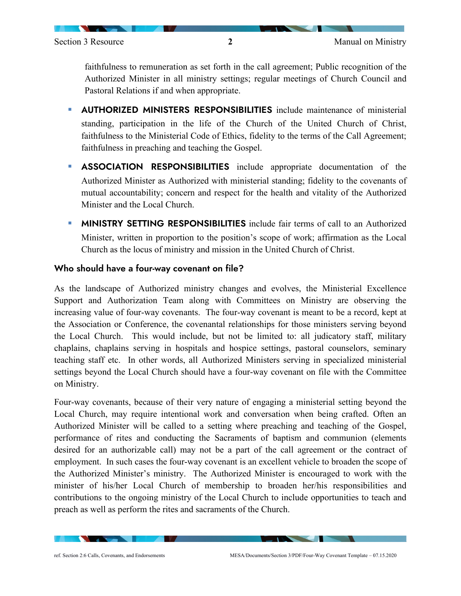faithfulness to remuneration as set forth in the call agreement; Public recognition of the Authorized Minister in all ministry settings; regular meetings of Church Council and Pastoral Relations if and when appropriate.

- **AUTHORIZED MINISTERS RESPONSIBILITIES** include maintenance of ministerial standing, participation in the life of the Church of the United Church of Christ, faithfulness to the Ministerial Code of Ethics, fidelity to the terms of the Call Agreement; faithfulness in preaching and teaching the Gospel.
- **ASSOCIATION RESPONSIBILITIES** include appropriate documentation of the Authorized Minister as Authorized with ministerial standing; fidelity to the covenants of mutual accountability; concern and respect for the health and vitality of the Authorized Minister and the Local Church.
- **MINISTRY SETTING RESPONSIBILITIES** include fair terms of call to an Authorized Minister, written in proportion to the position's scope of work; affirmation as the Local Church as the locus of ministry and mission in the United Church of Christ.

#### Who should have a four-way covenant on file?

As the landscape of Authorized ministry changes and evolves, the Ministerial Excellence Support and Authorization Team along with Committees on Ministry are observing the increasing value of four-way covenants. The four-way covenant is meant to be a record, kept at the Association or Conference, the covenantal relationships for those ministers serving beyond the Local Church. This would include, but not be limited to: all judicatory staff, military chaplains, chaplains serving in hospitals and hospice settings, pastoral counselors, seminary teaching staff etc. In other words, all Authorized Ministers serving in specialized ministerial settings beyond the Local Church should have a four-way covenant on file with the Committee on Ministry.

Four-way covenants, because of their very nature of engaging a ministerial setting beyond the Local Church, may require intentional work and conversation when being crafted. Often an Authorized Minister will be called to a setting where preaching and teaching of the Gospel, performance of rites and conducting the Sacraments of baptism and communion (elements desired for an authorizable call) may not be a part of the call agreement or the contract of employment. In such cases the four-way covenant is an excellent vehicle to broaden the scope of the Authorized Minister's ministry. The Authorized Minister is encouraged to work with the minister of his/her Local Church of membership to broaden her/his responsibilities and contributions to the ongoing ministry of the Local Church to include opportunities to teach and preach as well as perform the rites and sacraments of the Church.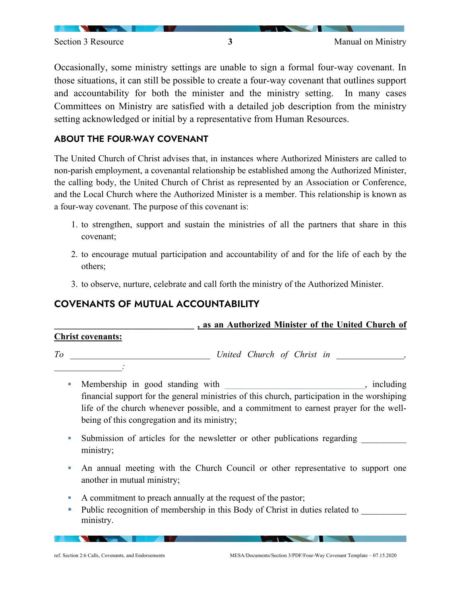Occasionally, some ministry settings are unable to sign a formal four-way covenant. In those situations, it can still be possible to create a four-way covenant that outlines support and accountability for both the minister and the ministry setting. In many cases Committees on Ministry are satisfied with a detailed job description from the ministry setting acknowledged or initial by a representative from Human Resources.

## ABOUT THE FOUR-WAY COVENANT

The United Church of Christ advises that, in instances where Authorized Ministers are called to non-parish employment, a covenantal relationship be established among the Authorized Minister, the calling body, the United Church of Christ as represented by an Association or Conference, and the Local Church where the Authorized Minister is a member. This relationship is known as a four-way covenant. The purpose of this covenant is:

- 1. to strengthen, support and sustain the ministries of all the partners that share in this covenant;
- 2. to encourage mutual participation and accountability of and for the life of each by the others;
- 3. to observe, nurture, celebrate and call forth the ministry of the Authorized Minister.

# COVENANTS OF MUTUAL ACCOUNTABILITY

|                          |  |                            |  |  | , as an Authorized Minister of the United Church of |  |
|--------------------------|--|----------------------------|--|--|-----------------------------------------------------|--|
| <b>Christ covenants:</b> |  |                            |  |  |                                                     |  |
| To                       |  | United Church of Christ in |  |  |                                                     |  |

- Membership in good standing with the same standing standing with the standing standing standing standing standing standing standing standing standing standing standing standing standing standing standing standing standin financial support for the general ministries of this church, participation in the worshiping life of the church whenever possible, and a commitment to earnest prayer for the wellbeing of this congregation and its ministry;
- In Submission of articles for the newsletter or other publications regarding ministry;
- An annual meeting with the Church Council or other representative to support one another in mutual ministry;
- A commitment to preach annually at the request of the pastor;
- Public recognition of membership in this Body of Christ in duties related to ministry.

*\_\_\_\_\_\_\_\_\_\_\_\_\_\_\_:*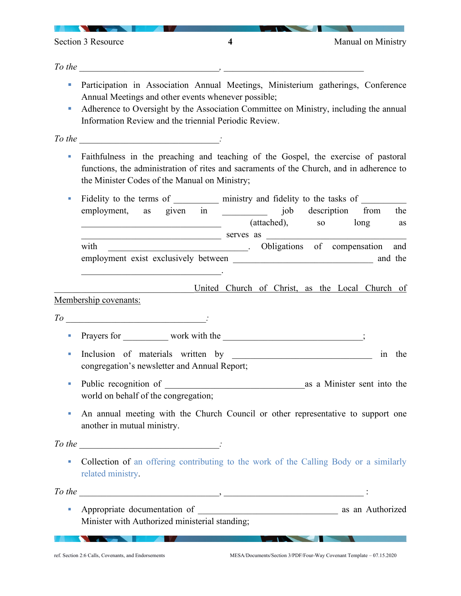Section 3 Resource **4** Manual on Ministry

<u> Andrew Maria Strand Barbara a Barbara a Barbara a Barbara a Barbara a Barbara a Barbara a Barbara a Barbara a Barbara a Barbara a Barbara a Barbara a Barbara a Barbara a Barbara a Barbara a Barbara a Barbara a Barbara a </u>

<u> De la Barca de la Barca de la Barca de la Barca de la Barca de la Barca de la Barca de la Barca de la Barca de la Barca de la Barca de la Barca de la Barca de la Barca de la Barca de la Barca de la Barca de la Barca de l</u>

*To the \_\_\_\_\_\_\_\_\_\_\_\_\_\_\_\_\_\_\_\_\_\_\_\_\_\_\_\_\_\_\_, \_\_\_\_\_\_\_\_\_\_\_\_\_\_\_\_\_\_\_\_\_\_\_\_\_\_\_\_\_\_\_*

- Participation in Association Annual Meetings, Ministerium gatherings, Conference Annual Meetings and other events whenever possible;
- Adherence to Oversight by the Association Committee on Ministry, including the annual Information Review and the triennial Periodic Review.

*To the \_\_\_\_\_\_\_\_\_\_\_\_\_\_\_\_\_\_\_\_\_\_\_\_\_\_\_\_\_\_\_:*

 Faithfulness in the preaching and teaching of the Gospel, the exercise of pastoral functions, the administration of rites and sacraments of the Church, and in adherence to the Minister Codes of the Manual on Ministry;

Fidelity to the terms of ministry and fidelity to the tasks of employment, as given in  $j$ ob description from the (attached), so long as  $\text{Serves}$  as with \_\_\_\_\_\_\_\_\_\_\_\_\_\_\_\_\_\_\_\_\_\_\_\_\_\_\_\_\_\_\_\_. Obligations of compensation and employment exist exclusively between **and** the  $\mathcal{L}_\text{max}$  and  $\mathcal{L}_\text{max}$  and  $\mathcal{L}_\text{max}$  and  $\mathcal{L}_\text{max}$ 

United Church of Christ, as the Local Church of

Membership covenants:

*To* \_\_\_\_\_\_\_\_\_\_\_\_\_\_\_\_\_\_\_\_\_\_\_\_\_\_\_\_\_\_\_*:*

Prayers for work with the  $\cdot$ 

- Inclusion of materials written by a straight in the straight of materials written by congregation's newsletter and Annual Report;
- Public recognition of  $\qquad \qquad$  as a Minister sent into the world on behalf of the congregation;
- An annual meeting with the Church Council or other representative to support one another in mutual ministry.

*To the* **with the set of the set of the set of the set of the set of the set of the set of the set of the set of the set of the set of the set of the set of the set of the set of the set of the set of the set of the set o** 

 Collection of an offering contributing to the work of the Calling Body or a similarly related ministry.

*To the* \_\_\_\_\_\_\_\_\_\_\_\_\_\_\_\_\_\_\_\_\_\_\_\_\_\_\_\_\_\_\_, \_\_\_\_\_\_\_\_\_\_\_\_\_\_\_\_\_\_\_\_\_\_\_\_\_\_\_\_\_\_\_ :

 Appropriate documentation of \_\_\_\_\_\_\_\_\_\_\_\_\_\_\_\_\_\_\_\_\_\_\_\_\_\_\_\_\_\_\_ as an Authorized Minister with Authorized ministerial standing;

**CONTRACTOR**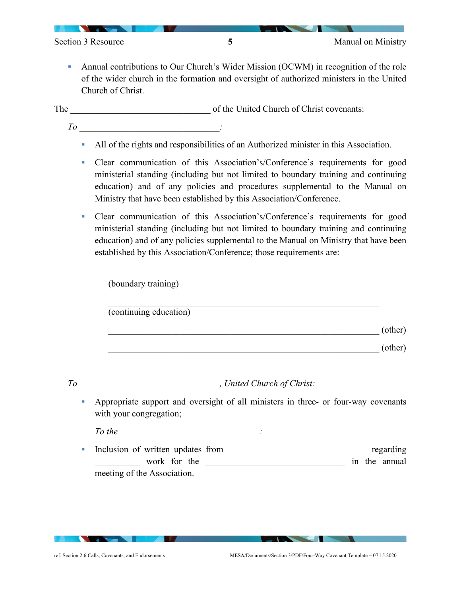Section 3 Resource **5** 5 Manual on Ministry

 Annual contributions to Our Church's Wider Mission (OCWM) in recognition of the role of the wider church in the formation and oversight of authorized ministers in the United Church of Christ.

The contract of the United Church of Christ covenants:

- *To* \_\_\_\_\_\_\_\_\_\_\_\_\_\_\_\_\_\_\_\_\_\_\_\_\_\_\_\_\_\_\_*:*
	- All of the rights and responsibilities of an Authorized minister in this Association.
	- Clear communication of this Association's/Conference's requirements for good ministerial standing (including but not limited to boundary training and continuing education) and of any policies and procedures supplemental to the Manual on Ministry that have been established by this Association/Conference.
	- Clear communication of this Association's/Conference's requirements for good ministerial standing (including but not limited to boundary training and continuing education) and of any policies supplemental to the Manual on Ministry that have been established by this Association/Conference; those requirements are:

 $\mathcal{L}_\text{max} = \mathcal{L}_\text{max} = \mathcal{L}_\text{max} = \mathcal{L}_\text{max} = \mathcal{L}_\text{max} = \mathcal{L}_\text{max} = \mathcal{L}_\text{max} = \mathcal{L}_\text{max} = \mathcal{L}_\text{max} = \mathcal{L}_\text{max} = \mathcal{L}_\text{max} = \mathcal{L}_\text{max} = \mathcal{L}_\text{max} = \mathcal{L}_\text{max} = \mathcal{L}_\text{max} = \mathcal{L}_\text{max} = \mathcal{L}_\text{max} = \mathcal{L}_\text{max} = \mathcal{$ 

|                             | (boundary training)                                                                                           |           |
|-----------------------------|---------------------------------------------------------------------------------------------------------------|-----------|
|                             | (continuing education)                                                                                        |           |
|                             |                                                                                                               | (other)   |
|                             |                                                                                                               | (other)   |
|                             |                                                                                                               |           |
|                             |                                                                                                               |           |
| $\mathcal{L}_{\mathcal{A}}$ | Appropriate support and oversight of all ministers in three- or four-way covenants<br>with your congregation; |           |
|                             | $To the$ $\qquad \qquad \qquad$                                                                               |           |
| ш                           |                                                                                                               | regarding |
|                             | work for the<br>in the annual                                                                                 |           |
|                             | meeting of the Association.                                                                                   |           |